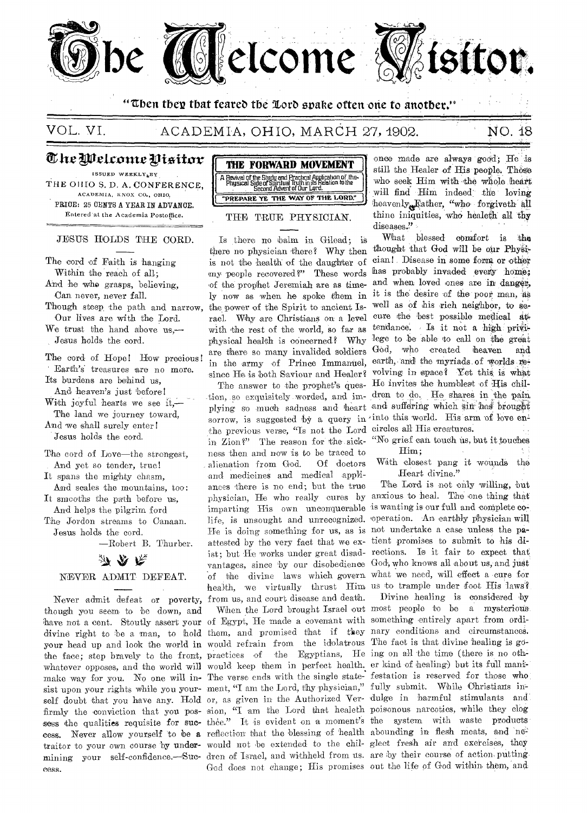

**"then their that feared the %orb svahe often one to another."** 

## VOL. VI. ACADEMIA, OHIO, MARCH 27, 1902. NO. 18

# The Welcome Visitor  $\,$

ISSUED WEEKLY,BY THE OHIO S. D. A. CONFERENCE, ACADEMIA, KNOX CO.., OHIO, PRICE: 25 CENTS A YEAR IN ADVANCE. Entered at the Academia Postoffice.

#### JESUS HOLDS THE CORD.

The cord of Faith is hanging Within the reach of all; And he who grasps, believing, Can never, never fall.

Though steep, the path and narrow, Our lives are with the Lord.

We trust the hand above us,— Jesus holds the cord.

The cord of Hope! How precious! Earth's treasures are no more. Its burdens are behind us,

And heaven's just before! With joyful hearts we see it,-

The land we journey toward, And we shall surely enter !

Jesus holds the cord,

The cord of Love—the strongest, And yet so tender, true!

It spans the mighty chasm, And scales the mountains, toe:

It smooths **the** path **before** us, And helps **the pilgrim ford** 

The Jordon **streams to Canaan.**  Jesus holds the **cord.** 

—Robert B. Thurber.

# みなた

## **NEVER ADMIT DEFEAT.**

though you seem to 'be down, and have not a cent. Stoutly assert your of Egypt, He made a covenant with something entirely apart from ordiyour head up and look the world in would refrain from the idolatrous The fact is that divine healing is gothe face; step bravely to the front, **practices of 'the** Egyptians, He ing on all the time (there is no othwhatever opposes, and the world will would keep them in perfect health. er kind of healing) but its full manimake way for you. No one will in- The verse ends with the single state- festation is reserved for those who sist upon your rights while you your- ment, "I am the Lord, thy physician," fully submit. While Christians inself doubt that you have any. Hold or, as given in the Authorized Ver- dulge in harmful stimulants and firmly the conviction that you pos- sion, "I am the Lord that healeth poisonous narcotics, while they clog sess the qualities requisite for suc- thee." It is evident on a moment's the system with waste products cess. Never allow yourself to be a reflection that the blessing of health abounding in flesh meats, and 'netraitor to your own course by **under-**would not **be extended- to** the chil-glect fresh air and exercises, they **mining** your self-confidence.—Suc-dren of **Israel, and** withheld from us. are by their course of action puttingeess.



## **THE TRUE PHYSICIAN.**

Is there no balm in Gilead; is there no physician there? Why then **thought that God will be our Physi**is not the health of the daughter of **cian!. Disease in. some form or other**  my-people recovered?" These words has probably invaded every home; of the prophet Jeremiah are as time-**and when loved ones are in danger,**  ly now as when he spoke them in it is the desire of the poor man, as the power of the Spirit to ancient Is- well as of his rich neighbor, to rael. Why are Christians on a level cure the best possible medical at with the rest of the world, so far as tendance, Is it not a high priviphysical health is concerned? Why lege to be able to call on the great are there so many invalided soldiers God, who created heaven and in the army of Prince Immanuel, earth, and the myriads of worlds since He is both Saviour and Healer? volving in space? Yet this is what

Never admit defeat or poverty, from us, and court disease and death. Divine healing is considered by tion, so exquisitely worded, and im- dren to do. He shares in the pain plying **so** much **sadness** and heart and suffering which sin. brought sorrow, is suggested by a query in into this world. His arm of love enthe previous verse, "Is not the Lord circles all His creatures. in Zion?" The **reason** for the sick-"No grief can, touch tis, but it touches **ness then and now is to** be traced to **alienation from** God. Of doctors **and medicines and** medical appliances there is **no** end; but the true physician, He who really cures by anxious to heal. The one thing that imparting His own unconquerable is wanting is our full and complete **co**life, is unsought and unrecognized. operation. An earthly physician will **He is doing** something for us, as is not undertake a case unless the pa**attested by the** very fact **that we ex-**tient promises to submit to his di**ist; but He works** under great disad-rections. Is it fair to expect that vantages, since by our disobedience God, who knows all about us, and just of the divine laws which govern what we need, will effect a cure for health, we virtually thrust Him us to trample under foot His laws?

God **does not change;** His promises out the life of God within them, and;

**-once made are always good; He 'is still the Healer of His people. These**  who seek Him with the whole heart **will find Him indeed' the loving heavenlyjather, "who forgiveth all thine iniquities, who healeth all thy diseases.?' -** 

The answer to the prophet's ques- He invites the humblest of His chil-**What blessed comfort is the** 

Him.;

With closest pang it wounds the Heart divine."

The Lord is not only willing, but

divine right to be a man, to hold them, and promised that if they nary conditions and circumstances. When the Lord brought Israel out most people to be a mysterious.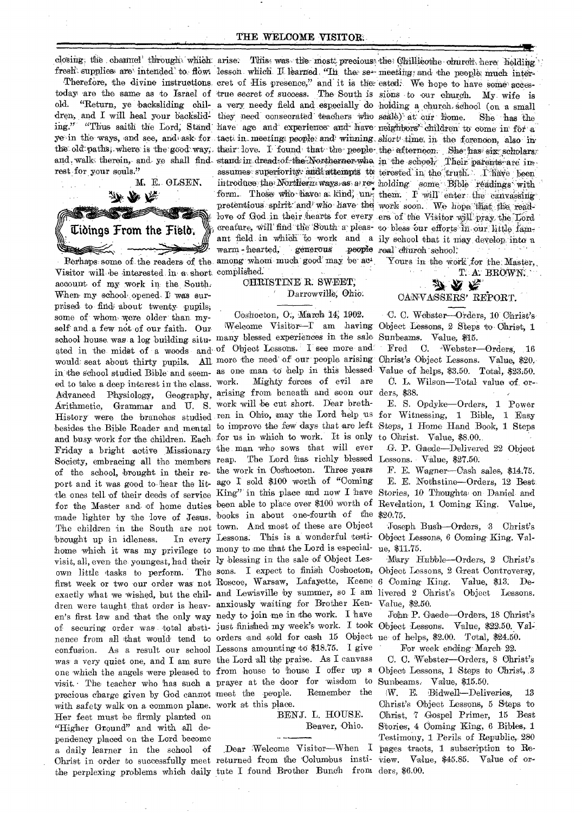closing; the channel through which arise. This was the most precious the Chillicothe church here holding

today are the same as to Israel of true secret of success. The South is sions to our church. My wife is old. "Return, ye backsliding chil- a very needy field and especially do holding a church school (on a small dren, and I will heal your backslid- they need consecrated teachers who scale) at our home. ing." "Thus saith the Lord, Stand have age and experience and have neighbors" children to come in for a ye in the ways, and see, and ask for tact in meeting people and winning short time in the forenoon, also in the old paths, where is the good way, their love. I found that the people the afternoon. She has six scholars and walk therein, and ye shall find stand in dread of the Northernor who in the school, Their parents are inrest for your souls."



Visitor will be interested in a short complished. account of my work in the South. When my school opened I was surprised to find about twenty pupils, some of whom were older than myself and a few not of our faith. Our school house was a log building situ- many blessed experiences in the sale ated in the midst of a woods and of Object Lessons. I see more and would seat about thirty pupils. All more the need of our people arising Christ's Object Lessons. Value, \$20. in the school studied Bible and seem- as one man to help in this blessed ed to take a deep interest in the class. work. Mighty forces of evil are Advanced Physiology, Geography, arising from beneath and soon our Arithmetic, Grammar and U. S. work will be cut short. Dear breth-History were the branches studied ren in Ohio, may the Lord help us for Witnessing, 1 Bible, 1 Easy besides the Bible Reader and mental to improve the few days that are left Steps, 1 Home Hand Book, 1 Steps and busy work for the children. Each for us in which to work. It is only Friday a bright active Missionary the man who sows that will ever Society, embracing all the members reap. The Lord has richly blessed Lessons. Value, \$27.50. of the school, brought in their re- the work in Coshocton. Three years port and it was good to hear the lit- ago I sold \$100 worth of "Coming tle ones tell of their deeds of service King" in this place and now I have Stories, 10 Thoughts on Daniel and for the Master and of home duties been able to place over \$100 worth of made lighter by the love of Jesus. books in about one-fourth of the The children in the South are not town. And most of these are Object brought up in idleness. home which it was my privilege to mony to me that the Lord is especialvisit, all, even the youngest, had their ly blessing in the sale of Object Lesown little tasks to perform. The sons. I expect to finish Coshocton, first week or two our order was not Roscoe, Warsaw, Lafayette, Keene exactly what we wished, but the chil- and Lewisville by summer, so I am livered 2 Christ's Object Lessons. dren were taught that order is heav- anxiously waiting for Brother Kenen's first law and that the only way nedy to join me in the work. I have of securing order was total absti- just finished my week's work. I took nence from all that would tend to orders and sold for eash 15 Object ue of helps, \$2.00. Total, \$24.50. confusion. As a result our school Lessons amounting to \$18.75. I give was a very quiet one, and I am sure the Lord all the praise. As I canvass one which the angels were pleased to from house to house I offer up a visit. The teacher who has such a prayer at the door for wisdom to precious charge given by God cannot meet the people. with safety walk on a common plane. work at this place. Her feet must be firmly planted on "Higher Ground" and with all dependency placed on the Lord become a daily learner in the school of Christ in order to successfully meet returned from the Columbus insti-

warm - hearted, generous Perhaps some of the readers of the among whom much good may be ac-

> CHRISTINE R. SWEET, Darrowville, Ohio.

## Coshocton, O., March 14, 1902.

Welcome Visitor-T am having In every Lessons. This is a wonderful testi-Remember the

## BENJ. L. HOUSE. Beaver, Ohio.

Dear Welcome Visitor-When I the perplexing problems which daily tute I found Brother Bunch from ders, \$6.00.

fresh supplies are intended to flow lesson which I learned. "In the se- meeting and the people much inter-Therefore, the divine instructions cret of His presence," and it is the ested. We hope to have some acces-She has the assumes superiority and attempts to terested in the truth. Thave been introduce the Northern ways as a rev holding some Bible readings with form. Those who have a kind, un them. I will enter the canvassing pretentious spirit and who have the work soon. We hope that the readlove of God in their hearts for every ers of the Visitor will pray the Lord creature, will find the South a pleas- to bless our efforts in our little famant field in which to work and a ily school that it may develop into a people real church school.

Yours in the work for the Master,

# T. A. BROWN. 27. AS PR

## CANVASSERS' REPORT.

C. C. Webster-Orders, 10 Christ's Object Lessons, 2 Steps to Christ, 1 Sunbeams. Value, \$15.

 $\rm Fred$ C. Webster-Orders, 16 Value of helps, \$3.50. Total, \$23.50. C. L. Wilson-Total value of orders, \$38.

E. S. Opdyke-Orders, 1 Power to Christ. Value, \$8.00.

G. P. Gaede-Delivered 22 Object

F. E. Wagner-Cash sales, \$14.75. E. E. Nothstine-Orders, 12 Best Revelation, 1 Coming King. Value,  $$20.75.$ 

Joseph Bush-Orders, 3 Christ's Object Lessons, 6 Coming King, Value, \$11.75.

Mary Hubble-Orders, 2 Christ's Object Lessons, 2 Great Controversy, 6 Coming King. Value, \$13. De-Value, \$2.50.

John P. Gaede-Orders, 18 Christ's Object Lessons. Value, \$22.50. Val-For week ending March 22.

C. C. Webster-Orders, 8 Christ's

Object Lessons, 1 Steps to Christ, 3 Sunbeams. Value, \$15.50.

W. E. Bidwell-Deliveries, 13 Christ's Object Lessons, 5 Steps to Christ, 7 Gospel Primer, 15 Best Stories, 4 Coming King, 6 Bibles, 1 Testimony, 1 Perils of Republic, 280 pages tracts, 1 subscription to Review. Value, \$45.85. Value of or-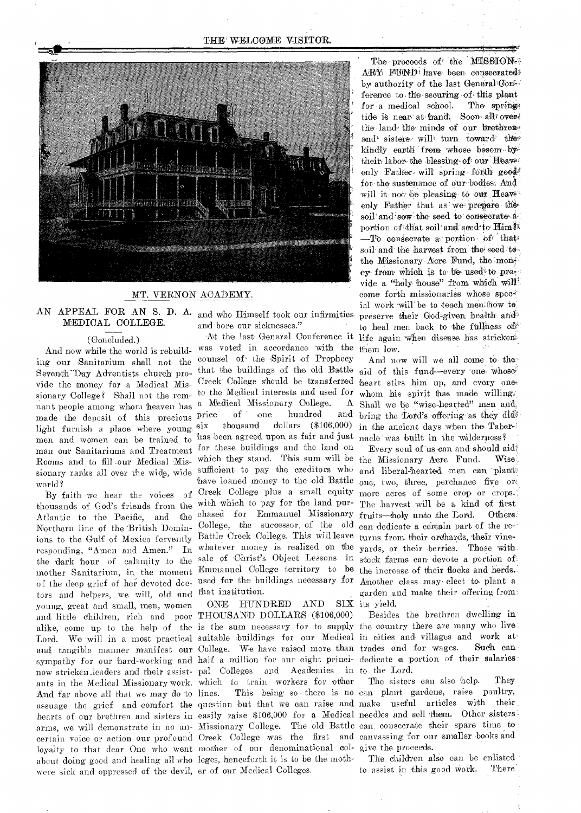### THE WELCOME VISITOR.



## MT. VERNON ACADEMY.

## AN APPEAL FOR AN S. D. A. and who Himself took our infirmities MEDICAL COLLEGE.

## (Concluded.)

ing our Sanitarium shall not the counsel of the Spirit of Prophecy mant people among whom heaven has a Medical Missionary College. A made the deposit of this precious price of one hundred and made the deposit of this precious Price light furnish a place where young. Six men and women can be trained to has been agreed upon as fair and just nacle was built in the wilderness? man our Sanitariums and Treatment for these buildings and the land on sionary ranks all over the wide, wide sufficient to pay the creditors who and liberal-hearted men can plant world?

thousands of God's friends from the with which to pay for the land pur- The harvest will be a kind of first Atlantic to the Pacific, and the chased for Emmanuel Missionary fruits—holy unto the Lord. Others, Northern line of the British Domin-College, the successor of the old can dedicate a certain part of the reions to the Gulf of Mexico fervently Battle Creek College. This will leave turns from their orchards, their vineresponding, "Amen and Amen." In whatever money is realized on the yards, or their berries. Those with the dark hour of calamity to the sale of Christ's Object Lessons in stock farms can- devote a portion of': mother Sanitarium, in the moment Emmanuel College territory to be the increase of their flocks and herds. of the deep grief of her devoted doc-used for the buildings necessary for Another class may- elect to- plant a. tors and helpers, we will, old and that institution. young, great and small, men, women and little children, rich and poor THOUSAND DOLLARS (\$106,000) sympathy for our hard-working and half a million for our eight princi- dedicate a portion of their salaries now stricken .leaders and their assist-pal Colleges and Academies in to the Lord. ants in the Medical Missionary work. which to train workers for other The sisters can also help. They loyalty to that dear One who went mother of our denominational col- give the proceeds. about doing good and healing all who leges, henceforth it is to be the moth-<br>
The children also can be enlisted were sick and oppressed of the devil, er of our Medical Colleges.

and bore our sicknesses."

And now while the world is rebuild- was voted in accordance with the By faith we hear the voices of Creek College plus a small equity more acres of some crop or crops. At the last- General Conference it

ONE HUNDRED AND SIX its yield.

The proceeds of the MISSION-3  $\text{APY}$  FUND, have been consecrated? by authority of the last General Cons. ference to the securing of this plant for a medical school. The springtide is near at hand. Soon all over the land the minds of our brethreiv and' sisters will turn toward the kindly earth from whose bosom by their- labor the blessing of our Heaven enly Father, will spring forth good! for the sustenance of our bodies; And will it not be pleasing to our Heavenly Father that as we prepare the soil'and sow the seed to consecrate aportion of that soil and seed to Him?  $-$ To consecrate a portion of that soil and the harvest from the seed to the Missionary Acre Fund, the money from which is to be used to previde a "holy house" from which will come forth missionaries whose special work will be to teach men how to preserve their God-given health and to heal men back to the fullness of life again when disease has stricken them low.

Seventh-Day Adventists church pro-<br>
Seventh-Day Adventists church pro-<br>
Complete aid of this fund—every one, whose : vide the money for a Medical Mis- Creek College should be transferred heart stirs him up, and every one. sionary College? Shall not the rem- to the Medical interests and used for whom his spirit has made willing. six thousand dollars (\$106.000) in the ancient days when the Taber-And now will we all come to- the' Shall we be "wise-hearted" men and' and bring the Lord's offering as they did-

Rooms and to fill our Medical Mis- which they stand. This sum will be the Missionary Acre Fund. Wise. have loaned money to the old Battle one, two, three, perchance five or Every soul of us can and- should aid: garden and make their offering-from:

alike, come up to the help of the is the sum necessary for to supply the country there are many who live, Lord. We will in a most practical suitable buildings for our Medical in cities and villages and work at and tangible manner manifest our College. We have raised more than trades and for wages. Such can Besides the brethren dwelling in-

And far above all that we may do to lines. This being so there is no can. plant gardens, raise poultry, assuage the grief and comfort the question but that we can raise and make useful articles with their. hearts of our brethren and sisters in easily raise \$106,000 for a Medical needles and sell them. Other sisters arms, we will demonstrate in no un-Missionary College. The old Battle can consecrate their spare time to certain voice or action our profound Creek College was the first and canvassing for our smaller books and

to assist in this good work. There